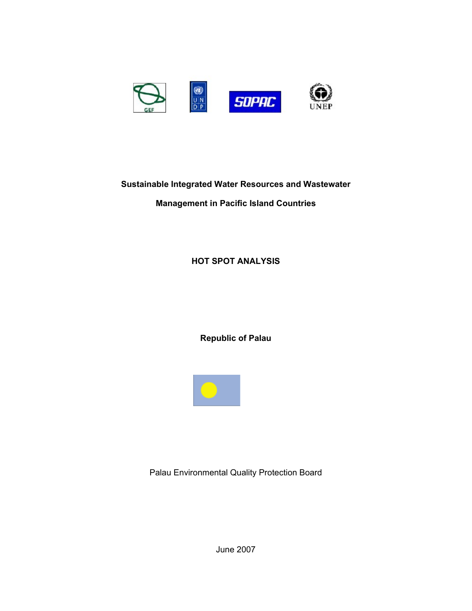

## **Sustainable Integrated Water Resources and Wastewater**

## **Management in Pacific Island Countries**

## **HOT SPOT ANALYSIS**

**Republic of Palau**



Palau Environmental Quality Protection Board

June 2007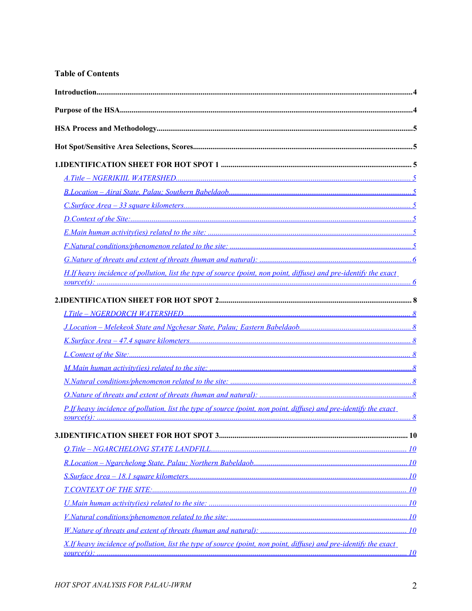## **Table of Contents**

| H.If heavy incidence of pollution, list the type of source (point, non point, diffuse) and pre-identify the exact |  |
|-------------------------------------------------------------------------------------------------------------------|--|
|                                                                                                                   |  |
|                                                                                                                   |  |
|                                                                                                                   |  |
|                                                                                                                   |  |
|                                                                                                                   |  |
|                                                                                                                   |  |
|                                                                                                                   |  |
|                                                                                                                   |  |
| P.If heavy incidence of pollution, list the type of source (point, non point, diffuse) and pre-identify the exact |  |
|                                                                                                                   |  |
|                                                                                                                   |  |
|                                                                                                                   |  |
|                                                                                                                   |  |
|                                                                                                                   |  |
|                                                                                                                   |  |
|                                                                                                                   |  |
|                                                                                                                   |  |
| X.If heavy incidence of pollution, list the type of source (point, non point, diffuse) and pre-identify the exact |  |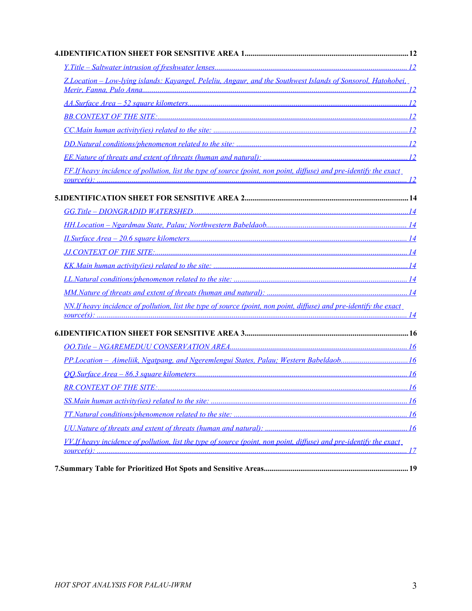| Z.Location - Low-lying islands: Kayangel, Peleliu, Angaur, and the Southwest Islands of Sonsorol, Hatohobei.       |  |
|--------------------------------------------------------------------------------------------------------------------|--|
|                                                                                                                    |  |
|                                                                                                                    |  |
|                                                                                                                    |  |
|                                                                                                                    |  |
|                                                                                                                    |  |
| FF.If heavy incidence of pollution, list the type of source (point, non point, diffuse) and pre-identify the exact |  |
|                                                                                                                    |  |
|                                                                                                                    |  |
|                                                                                                                    |  |
|                                                                                                                    |  |
|                                                                                                                    |  |
|                                                                                                                    |  |
|                                                                                                                    |  |
|                                                                                                                    |  |
| NN.If heavy incidence of pollution, list the type of source (point, non point, diffuse) and pre-identify the exact |  |
|                                                                                                                    |  |
|                                                                                                                    |  |
| PP.Location - Aimeliik, Ngatpang, and Ngeremlengui States, Palau; Western Babeldaob16                              |  |
|                                                                                                                    |  |
|                                                                                                                    |  |
|                                                                                                                    |  |
|                                                                                                                    |  |
|                                                                                                                    |  |
| VV.If heavy incidence of pollution, list the type of source (point, non point, diffuse) and pre-identify the exact |  |
|                                                                                                                    |  |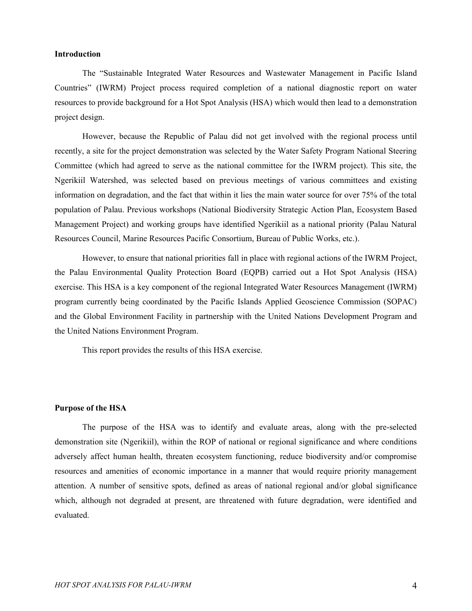#### **Introduction**

The "Sustainable Integrated Water Resources and Wastewater Management in Pacific Island Countries" (IWRM) Project process required completion of a national diagnostic report on water resources to provide background for a Hot Spot Analysis (HSA) which would then lead to a demonstration project design.

However, because the Republic of Palau did not get involved with the regional process until recently, a site for the project demonstration was selected by the Water Safety Program National Steering Committee (which had agreed to serve as the national committee for the IWRM project). This site, the Ngerikiil Watershed, was selected based on previous meetings of various committees and existing information on degradation, and the fact that within it lies the main water source for over 75% of the total population of Palau. Previous workshops (National Biodiversity Strategic Action Plan, Ecosystem Based Management Project) and working groups have identified Ngerikiil as a national priority (Palau Natural Resources Council, Marine Resources Pacific Consortium, Bureau of Public Works, etc.).

However, to ensure that national priorities fall in place with regional actions of the IWRM Project, the Palau Environmental Quality Protection Board (EQPB) carried out a Hot Spot Analysis (HSA) exercise. This HSA is a key component of the regional Integrated Water Resources Management (IWRM) program currently being coordinated by the Pacific Islands Applied Geoscience Commission (SOPAC) and the Global Environment Facility in partnership with the United Nations Development Program and the United Nations Environment Program.

This report provides the results of this HSA exercise.

#### **Purpose of the HSA**

The purpose of the HSA was to identify and evaluate areas, along with the pre-selected demonstration site (Ngerikiil), within the ROP of national or regional significance and where conditions adversely affect human health, threaten ecosystem functioning, reduce biodiversity and/or compromise resources and amenities of economic importance in a manner that would require priority management attention. A number of sensitive spots, defined as areas of national regional and/or global significance which, although not degraded at present, are threatened with future degradation, were identified and evaluated.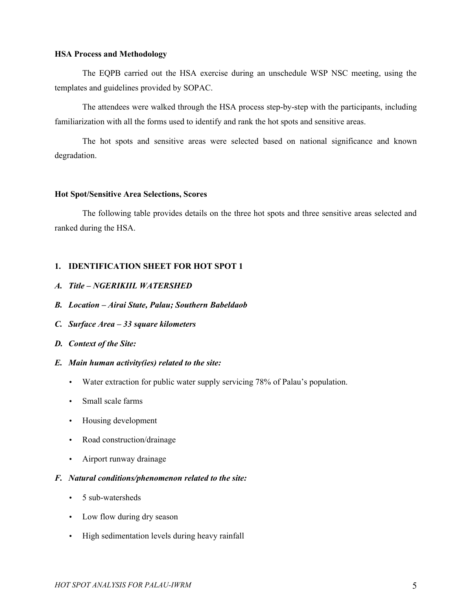#### **HSA Process and Methodology**

The EQPB carried out the HSA exercise during an unschedule WSP NSC meeting, using the templates and guidelines provided by SOPAC.

The attendees were walked through the HSA process step-by-step with the participants, including familiarization with all the forms used to identify and rank the hot spots and sensitive areas.

The hot spots and sensitive areas were selected based on national significance and known degradation.

#### **Hot Spot/Sensitive Area Selections, Scores**

The following table provides details on the three hot spots and three sensitive areas selected and ranked during the HSA.

#### **1. IDENTIFICATION SHEET FOR HOT SPOT 1**

- <span id="page-4-0"></span>*A. Title – NGERIKIIL WATERSHED*
- <span id="page-4-5"></span>*B. Location – Airai State, Palau; Southern Babeldaob*
- <span id="page-4-4"></span>*C. Surface Area – 33 square kilometers*
- <span id="page-4-3"></span>*D. Context of the Site:*

#### <span id="page-4-2"></span>*E. Main human activity(ies) related to the site:*

- Water extraction for public water supply servicing 78% of Palau's population.
- Small scale farms
- Housing development
- Road construction/drainage
- Airport runway drainage

#### <span id="page-4-1"></span>*F. Natural conditions/phenomenon related to the site:*

- 5 sub-watersheds
- Low flow during dry season
- High sedimentation levels during heavy rainfall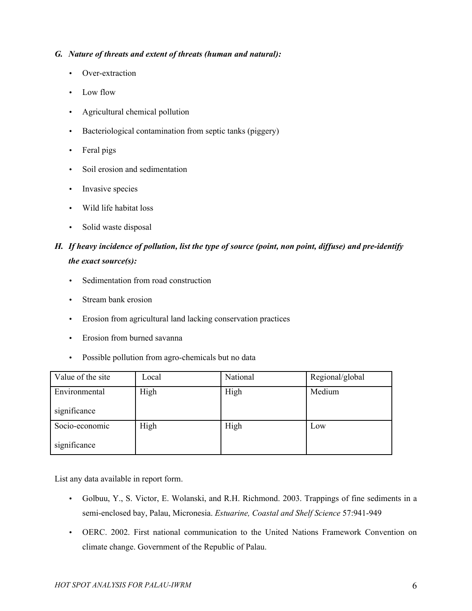### <span id="page-5-1"></span>*G. Nature of threats and extent of threats (human and natural):*

- Over-extraction
- Low flow
- Agricultural chemical pollution
- Bacteriological contamination from septic tanks (piggery)
- Feral pigs
- Soil erosion and sedimentation
- Invasive species
- Wild life habitat loss
- Solid waste disposal

# <span id="page-5-0"></span>*H. If heavy incidence of pollution, list the type of source (point, non point, diffuse) and pre-identify the exact source(s):*

- Sedimentation from road construction
- Stream bank erosion
- Erosion from agricultural land lacking conservation practices
- Erosion from burned savanna
- Possible pollution from agro-chemicals but no data

| Value of the site | Local | National | Regional/global |
|-------------------|-------|----------|-----------------|
| Environmental     | High  | High     | Medium          |
| significance      |       |          |                 |
| Socio-economic    | High  | High     | Low             |
| significance      |       |          |                 |

- Golbuu, Y., S. Victor, E. Wolanski, and R.H. Richmond. 2003. Trappings of fine sediments in a semi-enclosed bay, Palau, Micronesia. *Estuarine, Coastal and Shelf Science* 57:941-949
- OERC. 2002. First national communication to the United Nations Framework Convention on climate change. Government of the Republic of Palau.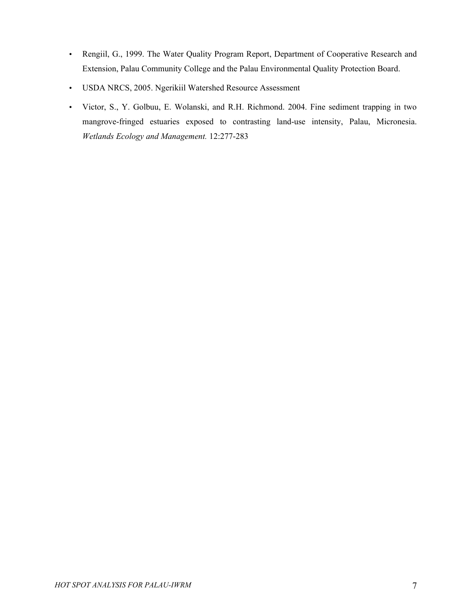- Rengiil, G., 1999. The Water Quality Program Report, Department of Cooperative Research and Extension, Palau Community College and the Palau Environmental Quality Protection Board.
- USDA NRCS, 2005. Ngerikiil Watershed Resource Assessment
- Victor, S., Y. Golbuu, E. Wolanski, and R.H. Richmond. 2004. Fine sediment trapping in two mangrove-fringed estuaries exposed to contrasting land-use intensity, Palau, Micronesia. *Wetlands Ecology and Management.* 12:277-283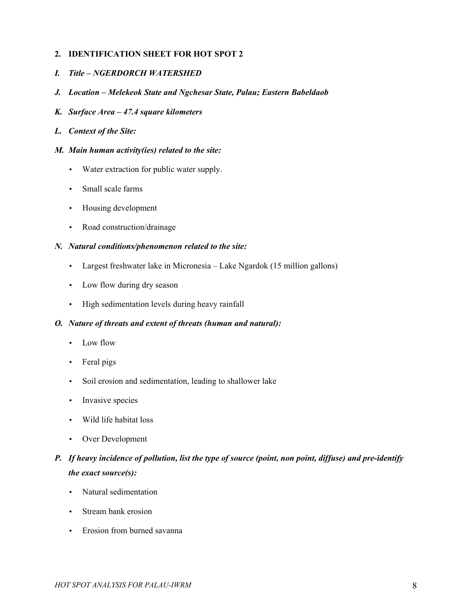## **2. IDENTIFICATION SHEET FOR HOT SPOT 2**

- <span id="page-7-7"></span>*I. Title – NGERDORCH WATERSHED*
- <span id="page-7-6"></span>*J. Location – Melekeok State and Ngchesar State, Palau; Eastern Babeldaob*
- <span id="page-7-5"></span>*K. Surface Area – 47.4 square kilometers*
- <span id="page-7-4"></span>*L. Context of the Site:*
- <span id="page-7-3"></span>*M. Main human activity(ies) related to the site:*
	- Water extraction for public water supply.
	- Small scale farms
	- Housing development
	- Road construction/drainage

## <span id="page-7-2"></span>*N. Natural conditions/phenomenon related to the site:*

- Largest freshwater lake in Micronesia Lake Ngardok (15 million gallons)
- Low flow during dry season
- High sedimentation levels during heavy rainfall

#### <span id="page-7-1"></span>*O. Nature of threats and extent of threats (human and natural):*

- Low flow
- Feral pigs
- Soil erosion and sedimentation, leading to shallower lake
- Invasive species
- Wild life habitat loss
- Over Development
- <span id="page-7-0"></span>*P. If heavy incidence of pollution, list the type of source (point, non point, diffuse) and pre-identify the exact source(s):*
	- Natural sedimentation
	- Stream bank erosion
	- Erosion from burned savanna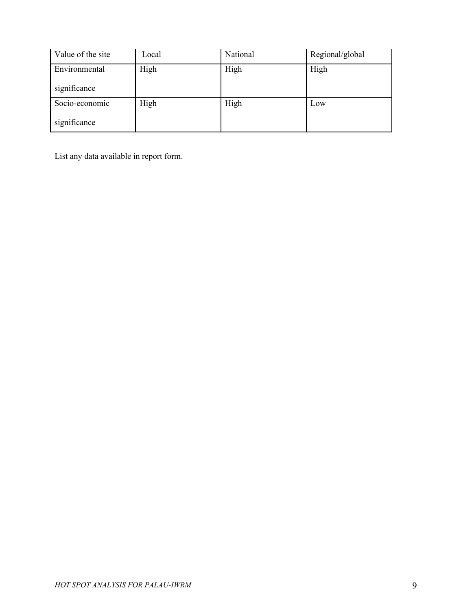| Value of the site | Local | National | Regional/global |
|-------------------|-------|----------|-----------------|
| Environmental     | High  | High     | High            |
| significance      |       |          |                 |
| Socio-economic    | High  | High     | Low             |
| significance      |       |          |                 |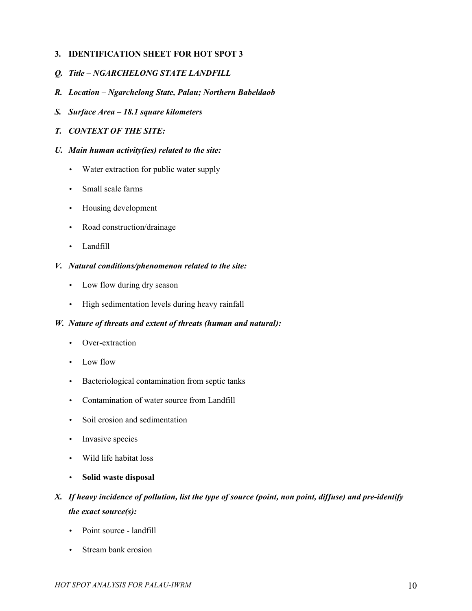### **3. IDENTIFICATION SHEET FOR HOT SPOT 3**

- <span id="page-9-7"></span>*Q. Title – NGARCHELONG STATE LANDFILL*
- <span id="page-9-6"></span>*R. Location – Ngarchelong State, Palau; Northern Babeldaob*
- <span id="page-9-5"></span>*S. Surface Area – 18.1 square kilometers*
- <span id="page-9-4"></span>*T. CONTEXT OF THE SITE:*
- <span id="page-9-3"></span>*U. Main human activity(ies) related to the site:*
	- Water extraction for public water supply
	- Small scale farms
	- Housing development
	- Road construction/drainage
	- Landfill

## <span id="page-9-2"></span>*V. Natural conditions/phenomenon related to the site:*

- Low flow during dry season
- High sedimentation levels during heavy rainfall

#### <span id="page-9-1"></span>*W. Nature of threats and extent of threats (human and natural):*

- Over-extraction
- Low flow
- Bacteriological contamination from septic tanks
- Contamination of water source from Landfill
- Soil erosion and sedimentation
- Invasive species
- Wild life habitat loss
- **Solid waste disposal**

# <span id="page-9-0"></span>*X. If heavy incidence of pollution, list the type of source (point, non point, diffuse) and pre-identify the exact source(s):*

- Point source landfill
- Stream bank erosion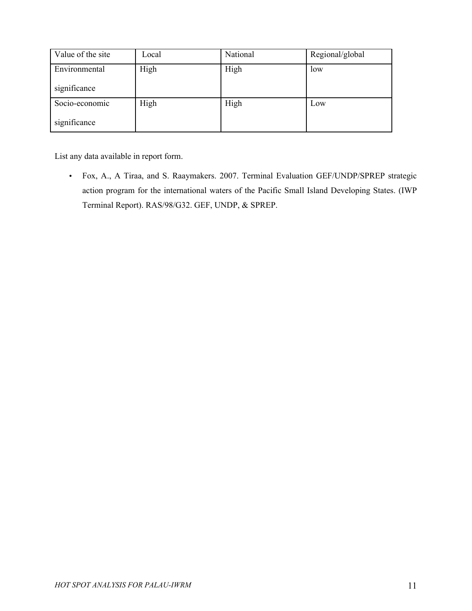| Value of the site | Local | National | Regional/global |
|-------------------|-------|----------|-----------------|
| Environmental     | High  | High     | low             |
| significance      |       |          |                 |
| Socio-economic    | High  | High     | Low             |
| significance      |       |          |                 |

• Fox, A., A Tiraa, and S. Raaymakers. 2007. Terminal Evaluation GEF/UNDP/SPREP strategic action program for the international waters of the Pacific Small Island Developing States. (IWP Terminal Report). RAS/98/G32. GEF, UNDP, & SPREP.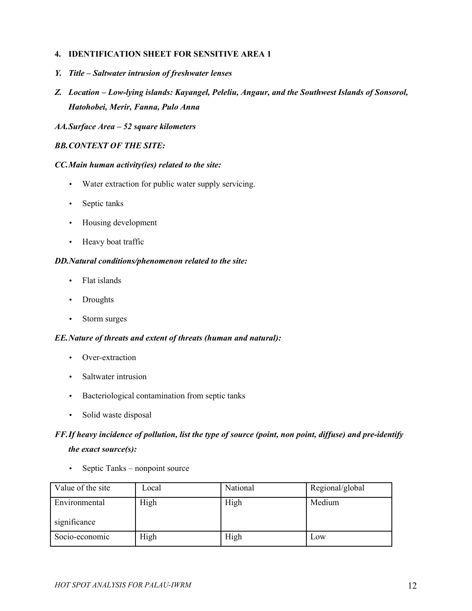## **4. IDENTIFICATION SHEET FOR SENSITIVE AREA 1**

- <span id="page-11-7"></span>*Y. Title – Saltwater intrusion of freshwater lenses*
- <span id="page-11-6"></span>*Z. Location – Low-lying islands: Kayangel, Peleliu, Angaur, and the Southwest Islands of Sonsorol, Hatohobei, Merir, Fanna, Pulo Anna*

#### <span id="page-11-5"></span>*AA.Surface Area – 52 square kilometers*

## <span id="page-11-4"></span>*BB.CONTEXT OF THE SITE:*

#### <span id="page-11-3"></span>*CC.Main human activity(ies) related to the site:*

- Water extraction for public water supply servicing.
- Septic tanks
- Housing development
- Heavy boat traffic

#### <span id="page-11-2"></span>*DD.Natural conditions/phenomenon related to the site:*

- Flat islands
- Droughts
- Storm surges

#### <span id="page-11-1"></span>*EE.Nature of threats and extent of threats (human and natural):*

- Over-extraction
- Saltwater intrusion
- Bacteriological contamination from septic tanks
- Solid waste disposal

# <span id="page-11-0"></span>*FF.If heavy incidence of pollution, list the type of source (point, non point, diffuse) and pre-identify the exact source(s):*

• Septic Tanks – nonpoint source

| Value of the site             | Local | National | Regional/global |
|-------------------------------|-------|----------|-----------------|
| Environmental<br>significance | High  | High     | Medium          |
|                               |       |          |                 |
| Socio-economic                | High  | High     | Low             |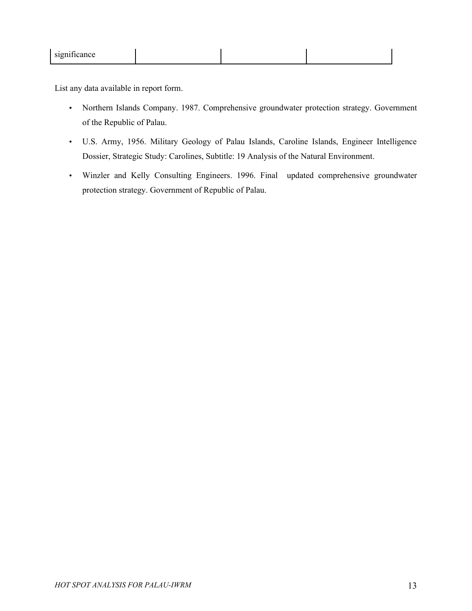|--|

- Northern Islands Company. 1987. Comprehensive groundwater protection strategy. Government of the Republic of Palau.
- U.S. Army, 1956. Military Geology of Palau Islands, Caroline Islands, Engineer Intelligence Dossier, Strategic Study: Carolines, Subtitle: 19 Analysis of the Natural Environment.
- Winzler and Kelly Consulting Engineers. 1996. Final updated comprehensive groundwater protection strategy. Government of Republic of Palau.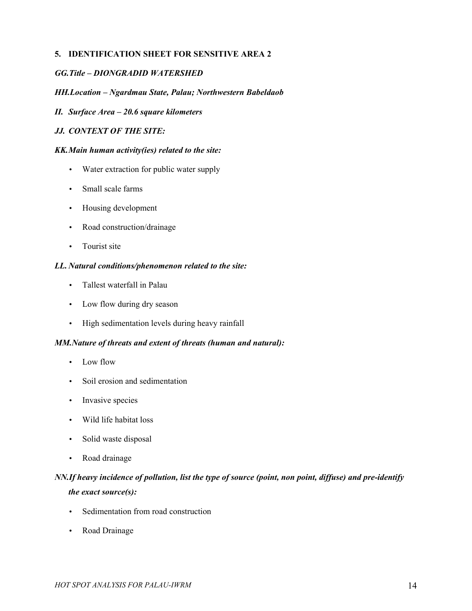## **5. IDENTIFICATION SHEET FOR SENSITIVE AREA 2**

### <span id="page-13-7"></span>*GG.Title – DIONGRADID WATERSHED*

### <span id="page-13-6"></span>*HH.Location – Ngardmau State, Palau; Northwestern Babeldaob*

## <span id="page-13-5"></span>*II. Surface Area – 20.6 square kilometers*

### <span id="page-13-4"></span>*JJ. CONTEXT OF THE SITE:*

#### <span id="page-13-3"></span>*KK.Main human activity(ies) related to the site:*

- Water extraction for public water supply
- Small scale farms
- Housing development
- Road construction/drainage
- Tourist site

#### <span id="page-13-2"></span>*LL. Natural conditions/phenomenon related to the site:*

- Tallest waterfall in Palau
- Low flow during dry season
- High sedimentation levels during heavy rainfall

#### <span id="page-13-1"></span>*MM.Nature of threats and extent of threats (human and natural):*

- Low flow
- Soil erosion and sedimentation
- Invasive species
- Wild life habitat loss
- Solid waste disposal
- Road drainage

## <span id="page-13-0"></span>*NN.If heavy incidence of pollution, list the type of source (point, non point, diffuse) and pre-identify the exact source(s):*

- Sedimentation from road construction
- Road Drainage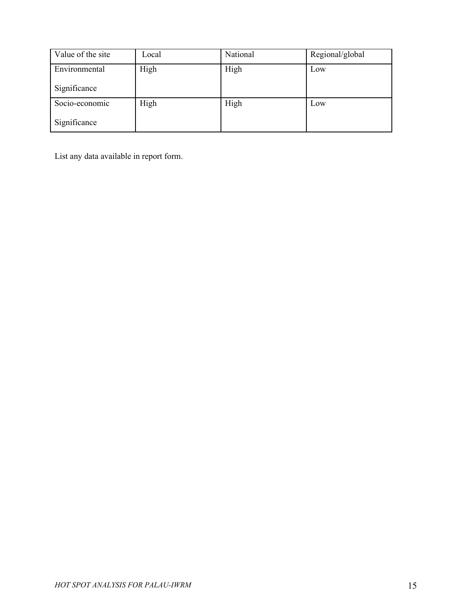| Value of the site | Local | National | Regional/global |
|-------------------|-------|----------|-----------------|
| Environmental     | High  | High     | Low             |
| Significance      |       |          |                 |
| Socio-economic    | High  | High     | Low             |
| Significance      |       |          |                 |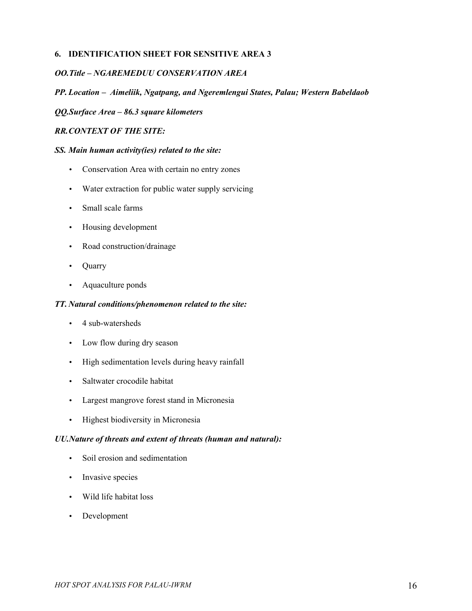## **6. IDENTIFICATION SHEET FOR SENSITIVE AREA 3**

### <span id="page-15-6"></span>*OO.Title – NGAREMEDUU CONSERVATION AREA*

#### <span id="page-15-5"></span>*PP. Location – Aimeliik, Ngatpang, and Ngeremlengui States, Palau; Western Babeldaob*

#### <span id="page-15-4"></span>*QQ.Surface Area – 86.3 square kilometers*

#### <span id="page-15-3"></span>*RR.CONTEXT OF THE SITE:*

#### <span id="page-15-2"></span>*SS. Main human activity(ies) related to the site:*

- Conservation Area with certain no entry zones
- Water extraction for public water supply servicing
- Small scale farms
- Housing development
- Road construction/drainage
- Quarry
- Aquaculture ponds

#### <span id="page-15-1"></span>*TT. Natural conditions/phenomenon related to the site:*

- 4 sub-watersheds
- Low flow during dry season
- High sedimentation levels during heavy rainfall
- Saltwater crocodile habitat
- Largest mangrove forest stand in Micronesia
- Highest biodiversity in Micronesia

#### <span id="page-15-0"></span>*UU.Nature of threats and extent of threats (human and natural):*

- Soil erosion and sedimentation
- Invasive species
- Wild life habitat loss
- Development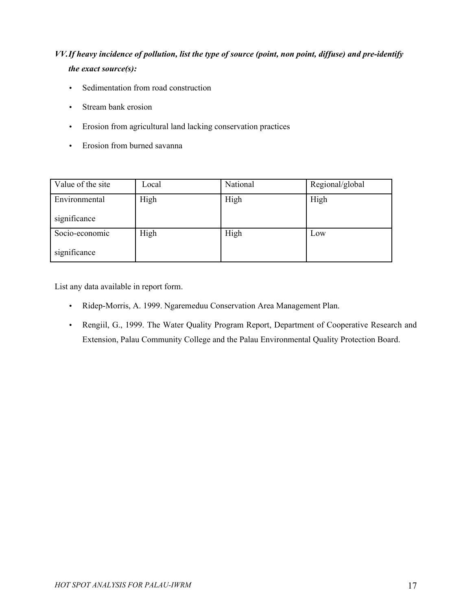# <span id="page-16-0"></span>*VV.If heavy incidence of pollution, list the type of source (point, non point, diffuse) and pre-identify the exact source(s):*

- Sedimentation from road construction
- Stream bank erosion
- Erosion from agricultural land lacking conservation practices
- Erosion from burned savanna

| Value of the site | Local | National | Regional/global |
|-------------------|-------|----------|-----------------|
| Environmental     | High  | High     | High            |
| significance      |       |          |                 |
| Socio-economic    | High  | High     | Low             |
| significance      |       |          |                 |

- Ridep-Morris, A. 1999. Ngaremeduu Conservation Area Management Plan.
- Rengiil, G., 1999. The Water Quality Program Report, Department of Cooperative Research and Extension, Palau Community College and the Palau Environmental Quality Protection Board.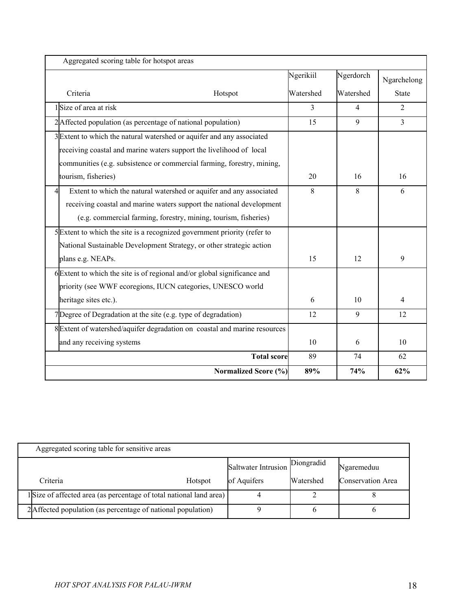| Aggregated scoring table for hotspot areas                                 |           |                |                |
|----------------------------------------------------------------------------|-----------|----------------|----------------|
|                                                                            | Ngerikiil | Ngerdorch      | Ngarchelong    |
| Criteria<br>Hotspot                                                        | Watershed | Watershed      | <b>State</b>   |
| $1$ Size of area at risk                                                   | 3         | $\overline{4}$ | 2              |
| 2 Affected population (as percentage of national population)               | 15        | 9              | $\overline{3}$ |
| 3 Extent to which the natural watershed or aquifer and any associated      |           |                |                |
| receiving coastal and marine waters support the livelihood of local        |           |                |                |
| communities (e.g. subsistence or commercial farming, forestry, mining,     |           |                |                |
| tourism, fisheries)                                                        | 20        | 16             | 16             |
| Extent to which the natural watershed or aquifer and any associated<br>4   | 8         | 8              | 6              |
| receiving coastal and marine waters support the national development       |           |                |                |
| (e.g. commercial farming, forestry, mining, tourism, fisheries)            |           |                |                |
| 5 Extent to which the site is a recognized government priority (refer to   |           |                |                |
| National Sustainable Development Strategy, or other strategic action       |           |                |                |
| plans e.g. NEAPs.                                                          | 15        | 12             | 9              |
| $6$ Extent to which the site is of regional and/or global significance and |           |                |                |
| priority (see WWF ecoregions, IUCN categories, UNESCO world                |           |                |                |
| heritage sites etc.).                                                      | 6         | 10             | $\overline{4}$ |
| 7Degree of Degradation at the site (e.g. type of degradation)              | 12        | 9              | 12             |
| 8 Extent of watershed/aquifer degradation on coastal and marine resources  |           |                |                |
| and any receiving systems                                                  | 10        | 6              | 10             |
| <b>Total score</b>                                                         | 89        | 74             | 62             |
| Normalized Score (%)                                                       | 89%       | 74%            | 62%            |

| Aggregated scoring table for sensitive areas                        |         |                     |                  |                   |
|---------------------------------------------------------------------|---------|---------------------|------------------|-------------------|
|                                                                     |         | Saltwater Intrusion | Diongradid       | Ngaremeduu        |
| Criteria                                                            | Hotspot | of Aquifers         | <b>Watershed</b> | Conservation Area |
| 1 Size of affected area (as percentage of total national land area) |         |                     |                  |                   |
| 2 Affected population (as percentage of national population)        |         |                     |                  |                   |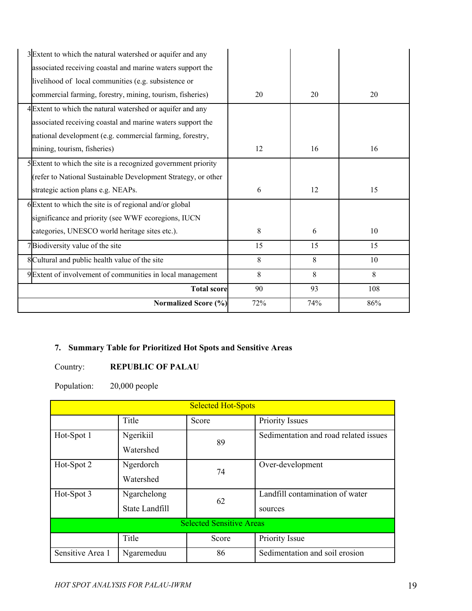| 3 Extent to which the natural watershed or aquifer and any     |     |     |     |
|----------------------------------------------------------------|-----|-----|-----|
| associated receiving coastal and marine waters support the     |     |     |     |
| livelihood of local communities (e.g. subsistence or           |     |     |     |
| commercial farming, forestry, mining, tourism, fisheries)      | 20  | 20  | 20  |
| 4 Extent to which the natural watershed or aquifer and any     |     |     |     |
| associated receiving coastal and marine waters support the     |     |     |     |
| national development (e.g. commercial farming, forestry,       |     |     |     |
| mining, tourism, fisheries)                                    | 12  | 16  | 16  |
| 5 Extent to which the site is a recognized government priority |     |     |     |
| (refer to National Sustainable Development Strategy, or other  |     |     |     |
| strategic action plans e.g. NEAPs.                             | 6   | 12  | 15  |
| 6 Extent to which the site is of regional and/or global        |     |     |     |
| significance and priority (see WWF ecoregions, IUCN            |     |     |     |
| categories, UNESCO world heritage sites etc.).                 | 8   | 6   | 10  |
| 7Biodiversity value of the site                                | 15  | 15  | 15  |
| 8 Cultural and public health value of the site                 | 8   | 8   | 10  |
| 9 Extent of involvement of communities in local management     | 8   | 8   | 8   |
| <b>Total score</b>                                             | 90  | 93  | 108 |
| Normalized Score (%)                                           | 72% | 74% | 86% |

## **7. Summary Table for Prioritized Hot Spots and Sensitive Areas**

## Country: **REPUBLIC OF PALAU**

Population: 20,000 people

| <b>Selected Hot-Spots</b>       |                |       |                                       |  |
|---------------------------------|----------------|-------|---------------------------------------|--|
|                                 | Title          | Score | <b>Priority Issues</b>                |  |
| Hot-Spot 1                      | Ngerikiil      | 89    | Sedimentation and road related issues |  |
|                                 | Watershed      |       |                                       |  |
| Hot-Spot 2                      | Ngerdorch      | 74    | Over-development                      |  |
|                                 | Watershed      |       |                                       |  |
| Hot-Spot 3                      | Ngarchelong    | 62    | Landfill contamination of water       |  |
|                                 | State Landfill |       | sources                               |  |
| <b>Selected Sensitive Areas</b> |                |       |                                       |  |
|                                 | Title          | Score | Priority Issue                        |  |
| Sensitive Area 1                | Ngaremeduu     | 86    | Sedimentation and soil erosion        |  |